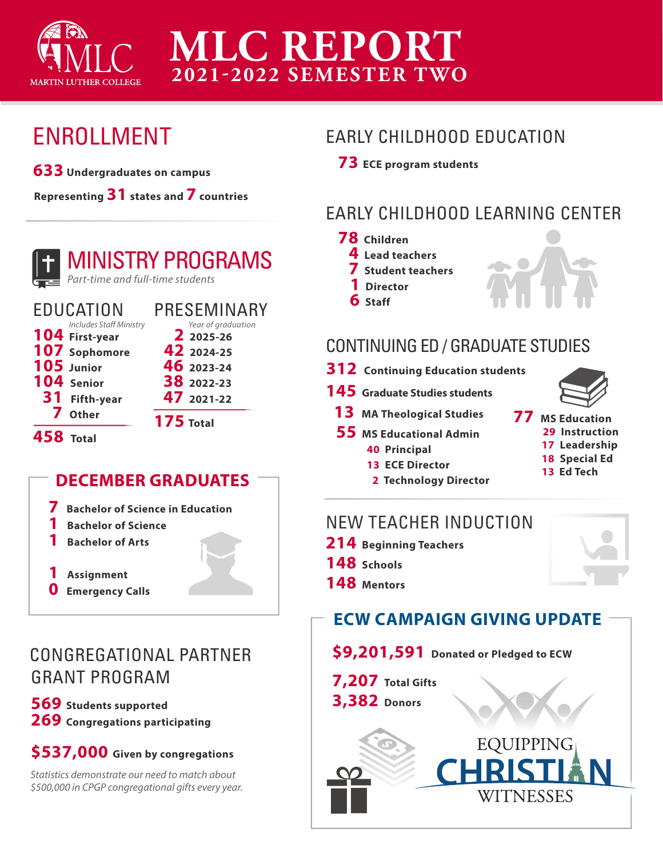

# **MLC REPORT 2021-2022 SEMESTER TWO**

# ENROLLMENT

**633 Undergraduates on campus** 

**Representing 31 states and 7 countries**



# MINISTRY PROGRAMS

*Part-time and full-time students*

| <b>EDUCATION</b> |                                | PRESEMINARY      |                                 |
|------------------|--------------------------------|------------------|---------------------------------|
|                  | <b>Includes Staff Ministry</b> |                  | Year of graduation<br>2 2025-26 |
|                  | 104 First-year                 |                  |                                 |
|                  | 107 Sophomore                  |                  | 42 2024-25                      |
|                  | 105 Junior                     |                  | 46 2023-24                      |
|                  | 104 Senior                     |                  | 38 2022-23                      |
|                  | 31 Fifth-year                  |                  | 47 2021-22                      |
|                  | 7 Other                        | <b>175 Total</b> |                                 |
| <b>458 Total</b> |                                |                  |                                 |

### **DECEMBER GRADUATES**

**7 Bachelor of Science in Education**

- **1 Bachelor of Science**
- **1 Bachelor of Arts**
- **1 Assignment**
- **0 Emergency Calls**

## CONGREGATIONAL PARTNER GRANT PROGRAM

**569 Students supported 269 Congregations participating** 

#### **\$537,000 Given by congregations**

*Statistics demonstrate our need to match about \$500,000 in CPGP congregational gifts every year.* 

### EARLY CHILDHOOD EDUCATION

 **73 ECE program students** 

## EARLY CHILDHOOD LEARNING CENTER

- **78 Children**
	- **4 Lead teachers**
	- **7 Student teachers**
	- **1 Director**
	- **6 Staff**



### CONTINUING ED / GRADUATE STUDIES

- **312 Continuing Education students**
- **145 Graduate Studies students** 
	- **13 MA Theological Studies**
	- **55 MS Educational Admin** 
		- **40 Principal**
		- **13 ECE Director**
		- **2 Technology Director**



- **77 MS Education 29 Instruction**
	- **17 Leadership 18 Special Ed**
	- **13 Ed Tech**

# NEW TEACHER INDUCTION

- **214 Beginning Teachers**
- **148 Schools**
- **148 Mentors**